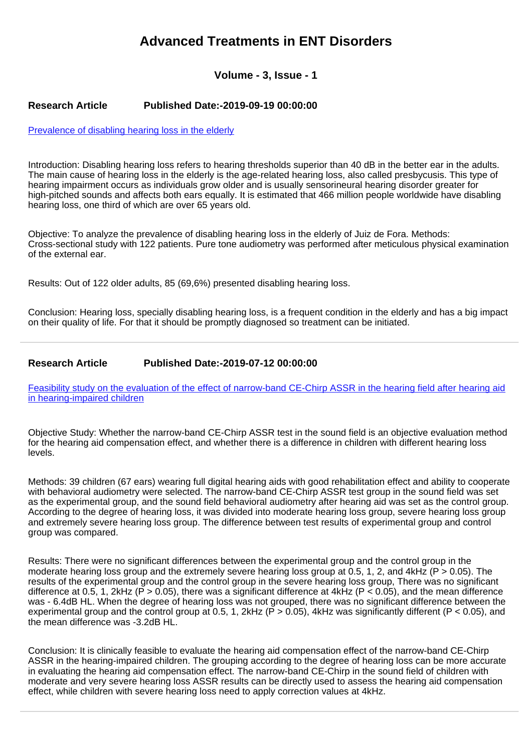## **Advanced Treatments in ENT Disorders**

**Volume - 3, Issue - 1**

## **Research Article Published Date:-2019-09-19 00:00:00**

[Prevalence of disabling hearing loss in the elderly](https://www.entdisordersjournal.com/articles/ated-aid1008.pdf)

Introduction: Disabling hearing loss refers to hearing thresholds superior than 40 dB in the better ear in the adults. The main cause of hearing loss in the elderly is the age-related hearing loss, also called presbycusis. This type of hearing impairment occurs as individuals grow older and is usually sensorineural hearing disorder greater for high-pitched sounds and affects both ears equally. It is estimated that 466 million people worldwide have disabling hearing loss, one third of which are over 65 years old.

Objective: To analyze the prevalence of disabling hearing loss in the elderly of Juiz de Fora. Methods: Cross-sectional study with 122 patients. Pure tone audiometry was performed after meticulous physical examination of the external ear.

Results: Out of 122 older adults, 85 (69,6%) presented disabling hearing loss.

Conclusion: Hearing loss, specially disabling hearing loss, is a frequent condition in the elderly and has a big impact on their quality of life. For that it should be promptly diagnosed so treatment can be initiated.

## **Research Article Published Date:-2019-07-12 00:00:00**

[Feasibility study on the evaluation of the effect of narrow-band CE-Chirp ASSR in the hearing field after hearing aid](https://www.entdisordersjournal.com/articles/ated-aid1007.pdf) [in hearing-impaired children](https://www.entdisordersjournal.com/articles/ated-aid1007.pdf)

Objective Study: Whether the narrow-band CE-Chirp ASSR test in the sound field is an objective evaluation method for the hearing aid compensation effect, and whether there is a difference in children with different hearing loss levels.

Methods: 39 children (67 ears) wearing full digital hearing aids with good rehabilitation effect and ability to cooperate with behavioral audiometry were selected. The narrow-band CE-Chirp ASSR test group in the sound field was set as the experimental group, and the sound field behavioral audiometry after hearing aid was set as the control group. According to the degree of hearing loss, it was divided into moderate hearing loss group, severe hearing loss group and extremely severe hearing loss group. The difference between test results of experimental group and control group was compared.

Results: There were no significant differences between the experimental group and the control group in the moderate hearing loss group and the extremely severe hearing loss group at 0.5, 1, 2, and 4kHz (P > 0.05). The results of the experimental group and the control group in the severe hearing loss group, There was no significant difference at 0.5, 1, 2kHz (P > 0.05), there was a significant difference at 4kHz (P < 0.05), and the mean difference was - 6.4dB HL. When the degree of hearing loss was not grouped, there was no significant difference between the experimental group and the control group at 0.5, 1, 2kHz ( $\overline{P}$  > 0.05), 4kHz was significantly different ( $P$  < 0.05), and the mean difference was -3.2dB HL.

Conclusion: It is clinically feasible to evaluate the hearing aid compensation effect of the narrow-band CE-Chirp ASSR in the hearing-impaired children. The grouping according to the degree of hearing loss can be more accurate in evaluating the hearing aid compensation effect. The narrow-band CE-Chirp in the sound field of children with moderate and very severe hearing loss ASSR results can be directly used to assess the hearing aid compensation effect, while children with severe hearing loss need to apply correction values at 4kHz.